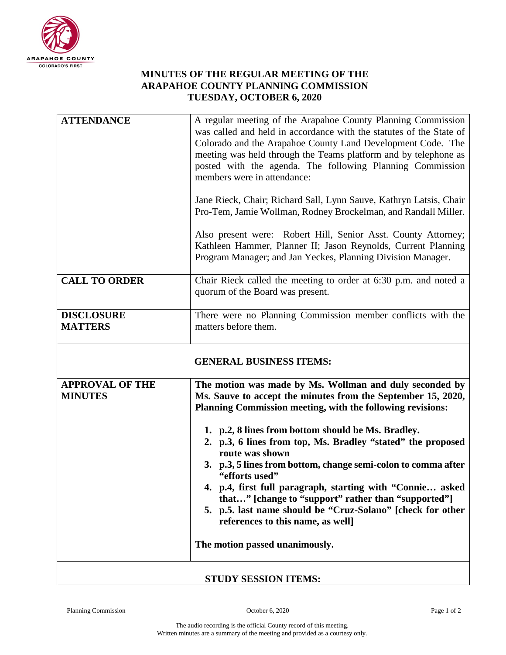

## **MINUTES OF THE REGULAR MEETING OF THE ARAPAHOE COUNTY PLANNING COMMISSION TUESDAY, OCTOBER 6, 2020**

| <b>ATTENDANCE</b>                        | A regular meeting of the Arapahoe County Planning Commission<br>was called and held in accordance with the statutes of the State of<br>Colorado and the Arapahoe County Land Development Code. The<br>meeting was held through the Teams platform and by telephone as<br>posted with the agenda. The following Planning Commission<br>members were in attendance:<br>Jane Rieck, Chair; Richard Sall, Lynn Sauve, Kathryn Latsis, Chair<br>Pro-Tem, Jamie Wollman, Rodney Brockelman, and Randall Miller.<br>Also present were: Robert Hill, Senior Asst. County Attorney;<br>Kathleen Hammer, Planner II; Jason Reynolds, Current Planning<br>Program Manager; and Jan Yeckes, Planning Division Manager. |
|------------------------------------------|------------------------------------------------------------------------------------------------------------------------------------------------------------------------------------------------------------------------------------------------------------------------------------------------------------------------------------------------------------------------------------------------------------------------------------------------------------------------------------------------------------------------------------------------------------------------------------------------------------------------------------------------------------------------------------------------------------|
| <b>CALL TO ORDER</b>                     | Chair Rieck called the meeting to order at 6:30 p.m. and noted a<br>quorum of the Board was present.                                                                                                                                                                                                                                                                                                                                                                                                                                                                                                                                                                                                       |
| <b>DISCLOSURE</b><br><b>MATTERS</b>      | There were no Planning Commission member conflicts with the<br>matters before them.                                                                                                                                                                                                                                                                                                                                                                                                                                                                                                                                                                                                                        |
|                                          | <b>GENERAL BUSINESS ITEMS:</b>                                                                                                                                                                                                                                                                                                                                                                                                                                                                                                                                                                                                                                                                             |
| <b>APPROVAL OF THE</b><br><b>MINUTES</b> | The motion was made by Ms. Wollman and duly seconded by<br>Ms. Sauve to accept the minutes from the September 15, 2020,<br>Planning Commission meeting, with the following revisions:<br>1. p.2, 8 lines from bottom should be Ms. Bradley.<br>2. p.3, 6 lines from top, Ms. Bradley "stated" the proposed<br>route was shown<br>3. p.3, 5 lines from bottom, change semi-colon to comma after<br>"efforts used"<br>4. p.4, first full paragraph, starting with "Connie asked<br>that" [change to "support" rather than "supported"]<br>5. p.5. last name should be "Cruz-Solano" [check for other<br>references to this name, as well]<br>The motion passed unanimously.<br>INVZ OEGOLOM ITEM             |

## **STUDY SESSION ITEMS:**